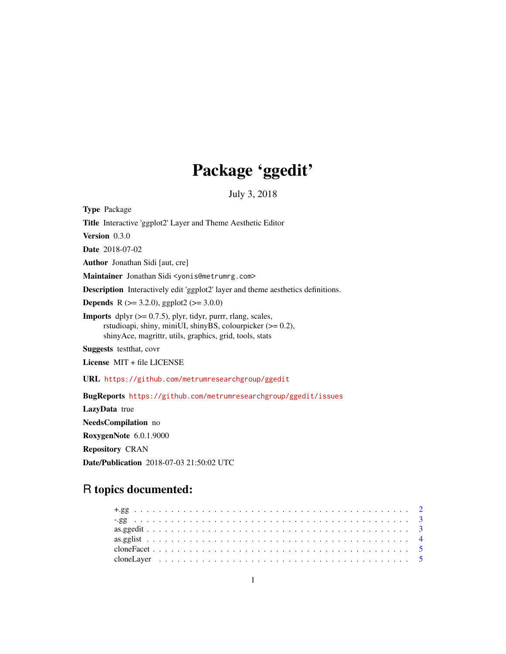# Package 'ggedit'

July 3, 2018

<span id="page-0-0"></span>Type Package Title Interactive 'ggplot2' Layer and Theme Aesthetic Editor Version 0.3.0 Date 2018-07-02 Author Jonathan Sidi [aut, cre] Maintainer Jonathan Sidi <yonis@metrumrg.com> Description Interactively edit 'ggplot2' layer and theme aesthetics definitions. **Depends** R ( $>= 3.2.0$ ), ggplot2 ( $>= 3.0.0$ ) **Imports** dplyr  $(>= 0.7.5)$ , plyr, tidyr, purrr, rlang, scales, rstudioapi, shiny, miniUI, shinyBS, colourpicker (>= 0.2), shinyAce, magrittr, utils, graphics, grid, tools, stats Suggests testthat, covr License MIT + file LICENSE URL <https://github.com/metrumresearchgroup/ggedit> BugReports <https://github.com/metrumresearchgroup/ggedit/issues> LazyData true NeedsCompilation no

RoxygenNote 6.0.1.9000

Repository CRAN

Date/Publication 2018-07-03 21:50:02 UTC

# R topics documented: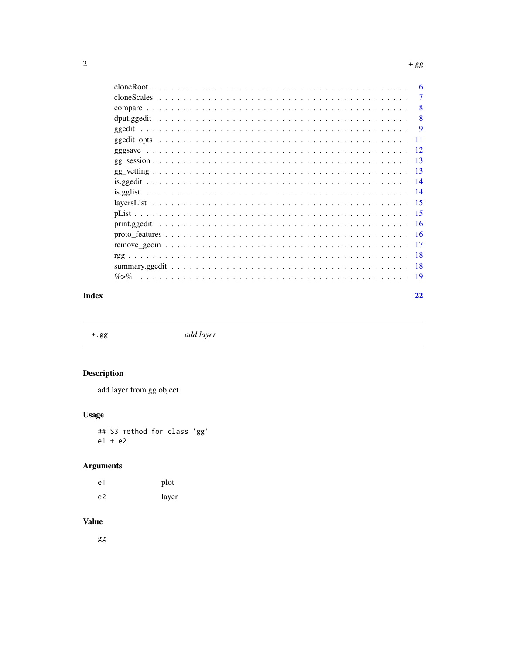<span id="page-1-0"></span>

|           | 6   |
|-----------|-----|
|           | 7   |
|           | 8   |
|           | 8   |
|           | 9   |
|           | -11 |
|           | -12 |
|           | -13 |
|           | -13 |
|           | -14 |
|           | -14 |
|           | -15 |
|           | -15 |
|           | -16 |
|           | -16 |
|           | 17  |
|           | 18  |
|           | 18  |
| $\% > \%$ | -19 |

# **Index**

 $^+.\mathrm{gg}$ 

add layer

# **Description**

add layer from gg object

# **Usage**

## S3 method for class 'gg'  $e1 + e2$ 

# **Arguments**

| e1             | plot  |
|----------------|-------|
| e <sub>2</sub> | layer |

# **Value**

gg

 $22$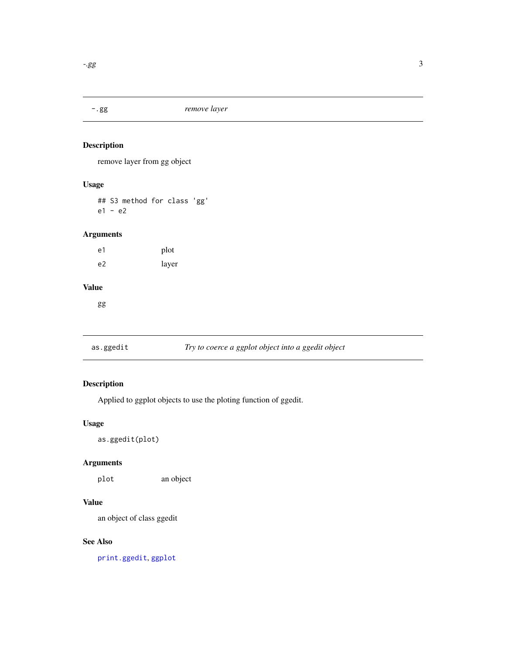<span id="page-2-0"></span>

# Description

remove layer from gg object

# Usage

## S3 method for class 'gg' e1 - e2

# Arguments

e1 plot e2 layer

# Value

gg

# as.ggedit *Try to coerce a ggplot object into a ggedit object*

# Description

Applied to ggplot objects to use the ploting function of ggedit.

### Usage

as.ggedit(plot)

# Arguments

plot an object

# Value

an object of class ggedit

# See Also

[print.ggedit](#page-15-1), [ggplot](#page-0-0)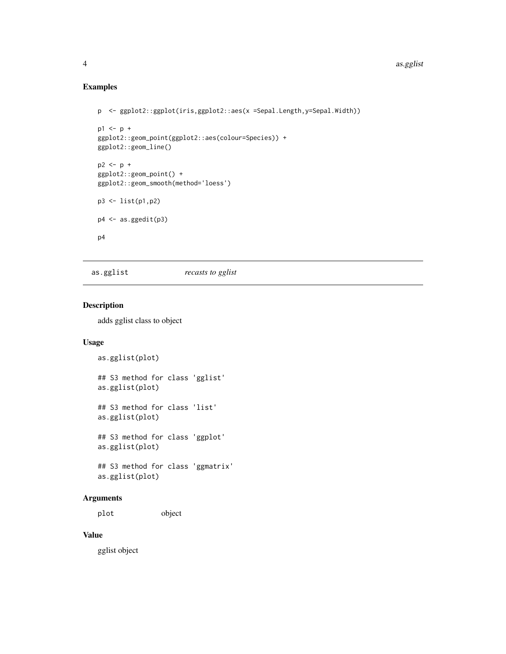# Examples

```
p <- ggplot2::ggplot(iris,ggplot2::aes(x =Sepal.Length,y=Sepal.Width))
p1 \le p +ggplot2::geom_point(ggplot2::aes(colour=Species)) +
ggplot2::geom_line()
p2 \le p +ggplot2::geom_point() +
ggplot2::geom_smooth(method='loess')
p3 <- list(p1,p2)
p4 \leftarrow as.ggedit(p3)p4
```
# as.gglist *recasts to gglist*

# Description

adds gglist class to object

### Usage

```
as.gglist(plot)
## S3 method for class 'gglist'
as.gglist(plot)
## S3 method for class 'list'
as.gglist(plot)
## S3 method for class 'ggplot'
as.gglist(plot)
## S3 method for class 'ggmatrix'
```
# as.gglist(plot)

# Arguments

plot object

# Value

gglist object

<span id="page-3-0"></span>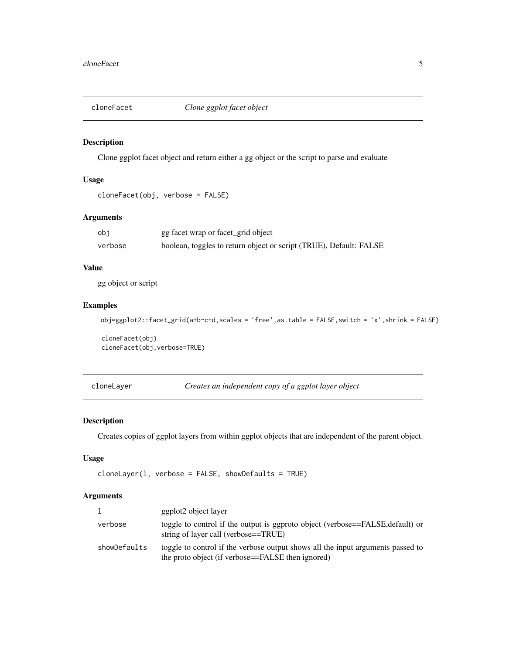<span id="page-4-0"></span>

# Description

Clone ggplot facet object and return either a gg object or the script to parse and evaluate

# Usage

```
cloneFacet(obj, verbose = FALSE)
```
# Arguments

| obi     | gg facet wrap or facet_grid object                                 |
|---------|--------------------------------------------------------------------|
| verbose | boolean, toggles to return object or script (TRUE), Default: FALSE |

# Value

gg object or script

# Examples

```
obj=ggplot2::facet_grid(a+b~c+d,scales = 'free',as.table = FALSE,switch = 'x',shrink = FALSE)
```
cloneFacet(obj) cloneFacet(obj,verbose=TRUE)

<span id="page-4-1"></span>cloneLayer *Creates an independent copy of a ggplot layer object*

# Description

Creates copies of ggplot layers from within ggplot objects that are independent of the parent object.

### Usage

```
cloneLayer(1, verbose = FALSE, showDefaults = TRUE)
```
### Arguments

|              | ggplot2 object layer                                                                                                                 |
|--------------|--------------------------------------------------------------------------------------------------------------------------------------|
| verbose      | toggle to control if the output is ggproto object (verbose==FALSE, default) or<br>string of layer call (verbose==TRUE)               |
| showDefaults | toggle to control if the verbose output shows all the input arguments passed to<br>the proto object (if verbose==FALSE then ignored) |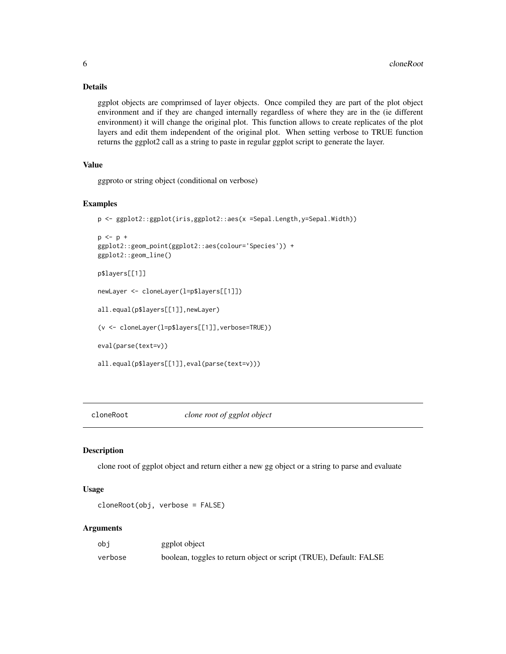# Details

ggplot objects are comprimsed of layer objects. Once compiled they are part of the plot object environment and if they are changed internally regardless of where they are in the (ie different environment) it will change the original plot. This function allows to create replicates of the plot layers and edit them independent of the original plot. When setting verbose to TRUE function returns the ggplot2 call as a string to paste in regular ggplot script to generate the layer.

# Value

ggproto or string object (conditional on verbose)

# Examples

```
p <- ggplot2::ggplot(iris,ggplot2::aes(x =Sepal.Length,y=Sepal.Width))
p \le -p +ggplot2::geom_point(ggplot2::aes(colour='Species')) +
ggplot2::geom_line()
p$layers[[1]]
newLayer <- cloneLayer(l=p$layers[[1]])
all.equal(p$layers[[1]],newLayer)
(v <- cloneLayer(l=p$layers[[1]],verbose=TRUE))
eval(parse(text=v))
all.equal(p$layers[[1]],eval(parse(text=v)))
```
cloneRoot *clone root of ggplot object*

### Description

clone root of ggplot object and return either a new gg object or a string to parse and evaluate

### Usage

cloneRoot(obj, verbose = FALSE)

#### Arguments

| obi     | ggplot object                                                      |
|---------|--------------------------------------------------------------------|
| verbose | boolean, toggles to return object or script (TRUE), Default: FALSE |

<span id="page-5-0"></span>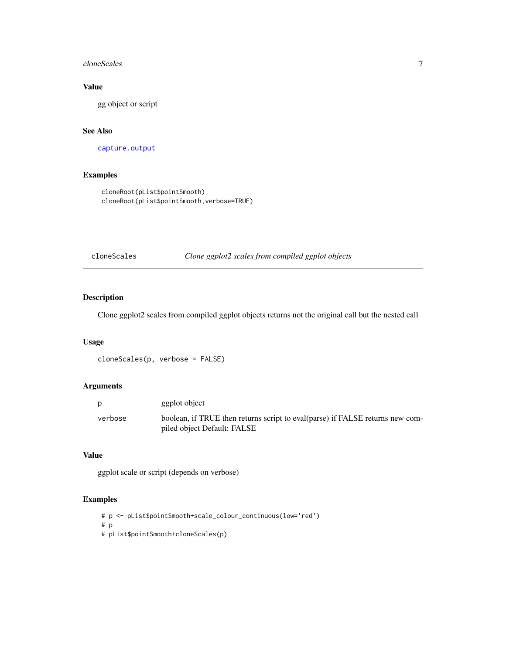### <span id="page-6-0"></span>cloneScales 7

# Value

gg object or script

# See Also

[capture.output](#page-0-0)

# Examples

```
cloneRoot(pList$pointSmooth)
cloneRoot(pList$pointSmooth,verbose=TRUE)
```
cloneScales *Clone ggplot2 scales from compiled ggplot objects*

# Description

Clone ggplot2 scales from compiled ggplot objects returns not the original call but the nested call

### Usage

```
cloneScales(p, verbose = FALSE)
```
# Arguments

| p       | ggplot object                                                                                                 |
|---------|---------------------------------------------------------------------------------------------------------------|
| verbose | boolean, if TRUE then returns script to eval (parse) if FALSE returns new com-<br>piled object Default: FALSE |

# Value

ggplot scale or script (depends on verbose)

# Examples

```
# p <- pList$pointSmooth+scale_colour_continuous(low='red')
# p
# pList$pointSmooth+cloneScales(p)
```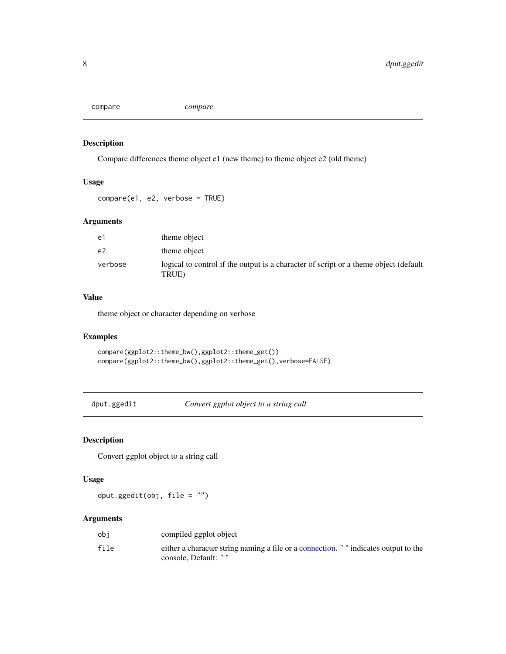<span id="page-7-0"></span>compare *compare*

# Description

Compare differences theme object e1 (new theme) to theme object e2 (old theme)

# Usage

compare(e1, e2, verbose = TRUE)

# Arguments

| e1      | theme object                                                                                  |
|---------|-----------------------------------------------------------------------------------------------|
| e2      | theme object                                                                                  |
| verbose | logical to control if the output is a character of script or a theme object (default<br>TRUE) |

# Value

theme object or character depending on verbose

# Examples

compare(ggplot2::theme\_bw(),ggplot2::theme\_get()) compare(ggplot2::theme\_bw(),ggplot2::theme\_get(),verbose=FALSE)

dput.ggedit *Convert ggplot object to a string call*

# Description

Convert ggplot object to a string call

# Usage

dput.ggedit(obj, file = "")

# Arguments

| obi  | compiled ggplot object                                                               |
|------|--------------------------------------------------------------------------------------|
| file | either a character string naming a file or a connection. " " indicates output to the |
|      | console. Default: " "                                                                |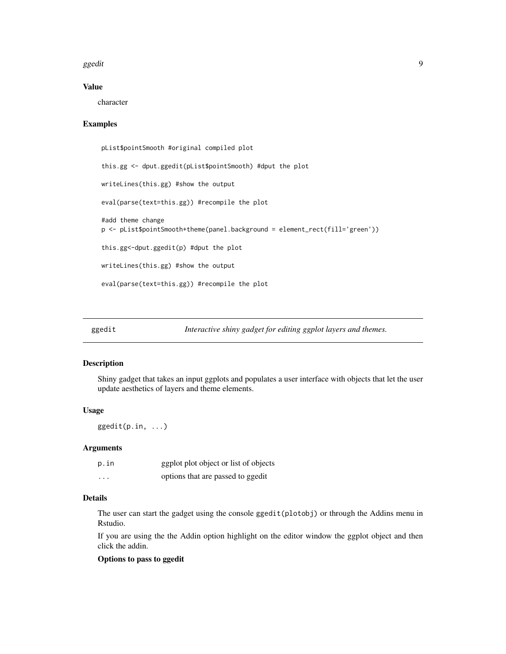### <span id="page-8-0"></span>ggedit **9**9

# Value

character

### Examples

```
pList$pointSmooth #original compiled plot
this.gg <- dput.ggedit(pList$pointSmooth) #dput the plot
writeLines(this.gg) #show the output
eval(parse(text=this.gg)) #recompile the plot
#add theme change
p <- pList$pointSmooth+theme(panel.background = element_rect(fill='green'))
this.gg<-dput.ggedit(p) #dput the plot
writeLines(this.gg) #show the output
eval(parse(text=this.gg)) #recompile the plot
```
# Description

Shiny gadget that takes an input ggplots and populates a user interface with objects that let the user update aesthetics of layers and theme elements.

### Usage

ggedit(p.in, ...)

### Arguments

| p.in     | ggplot plot object or list of objects |
|----------|---------------------------------------|
| $\cdots$ | options that are passed to ggedit     |

# Details

The user can start the gadget using the console ggedit(plotobj) or through the Addins menu in Rstudio.

If you are using the the Addin option highlight on the editor window the ggplot object and then click the addin.

### Options to pass to ggedit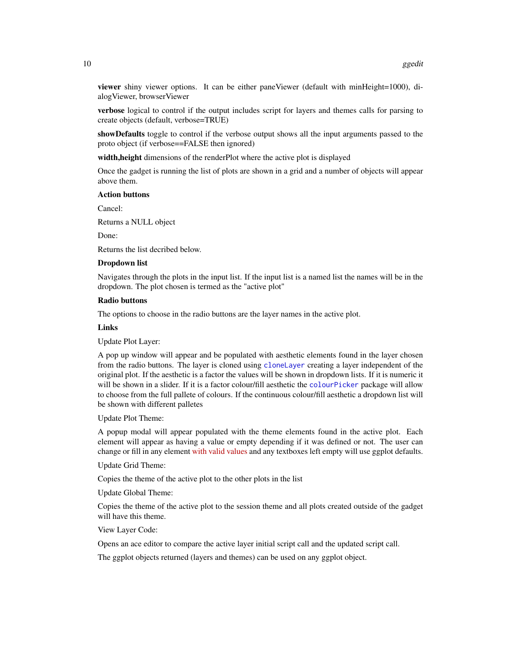<span id="page-9-0"></span>viewer shiny viewer options. It can be either paneViewer (default with minHeight=1000), dialogViewer, browserViewer

verbose logical to control if the output includes script for layers and themes calls for parsing to create objects (default, verbose=TRUE)

showDefaults toggle to control if the verbose output shows all the input arguments passed to the proto object (if verbose==FALSE then ignored)

width, height dimensions of the renderPlot where the active plot is displayed

Once the gadget is running the list of plots are shown in a grid and a number of objects will appear above them.

### Action buttons

Cancel:

Returns a NULL object

Done:

Returns the list decribed below.

### Dropdown list

Navigates through the plots in the input list. If the input list is a named list the names will be in the dropdown. The plot chosen is termed as the "active plot"

### Radio buttons

The options to choose in the radio buttons are the layer names in the active plot.

### Links

Update Plot Layer:

A pop up window will appear and be populated with aesthetic elements found in the layer chosen from the radio buttons. The layer is cloned using [cloneLayer](#page-4-1) creating a layer independent of the original plot. If the aesthetic is a factor the values will be shown in dropdown lists. If it is numeric it will be shown in a slider. If it is a factor colour/fill aesthetic the [colourPicker](#page-0-0) package will allow to choose from the full pallete of colours. If the continuous colour/fill aesthetic a dropdown list will be shown with different palletes

Update Plot Theme:

A popup modal will appear populated with the theme elements found in the active plot. Each element will appear as having a value or empty depending if it was defined or not. The user can change or fill in any element [with valid values](http://docs.ggplot2.org/current/theme.html) and any textboxes left empty will use ggplot defaults.

Update Grid Theme:

Copies the theme of the active plot to the other plots in the list

Update Global Theme:

Copies the theme of the active plot to the session theme and all plots created outside of the gadget will have this theme.

View Layer Code:

Opens an ace editor to compare the active layer initial script call and the updated script call.

The ggplot objects returned (layers and themes) can be used on any ggplot object.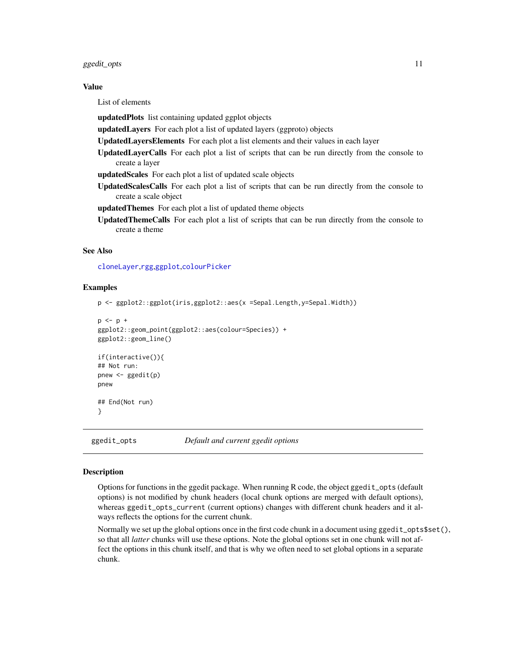### <span id="page-10-0"></span>ggedit\_opts 11

### Value

List of elements

updatedPlots list containing updated ggplot objects

updatedLayers For each plot a list of updated layers (ggproto) objects

UpdatedLayersElements For each plot a list elements and their values in each layer

UpdatedLayerCalls For each plot a list of scripts that can be run directly from the console to create a layer

updatedScales For each plot a list of updated scale objects

UpdatedScalesCalls For each plot a list of scripts that can be run directly from the console to create a scale object

updatedThemes For each plot a list of updated theme objects

UpdatedThemeCalls For each plot a list of scripts that can be run directly from the console to create a theme

# See Also

[cloneLayer](#page-4-1),[rgg](#page-17-1),[ggplot](#page-0-0),[colourPicker](#page-0-0)

### Examples

```
p <- ggplot2::ggplot(iris,ggplot2::aes(x =Sepal.Length,y=Sepal.Width))
```

```
p \le -p +ggplot2::geom_point(ggplot2::aes(colour=Species)) +
ggplot2::geom_line()
if(interactive()){
## Not run:
pnew <- ggedit(p)
pnew
## End(Not run)
}
```
ggedit\_opts *Default and current ggedit options*

### **Description**

Options for functions in the ggedit package. When running R code, the object ggedit\_opts (default options) is not modified by chunk headers (local chunk options are merged with default options), whereas ggedit\_opts\_current (current options) changes with different chunk headers and it always reflects the options for the current chunk.

Normally we set up the global options once in the first code chunk in a document using ggedit\_opts\$set(), so that all *latter* chunks will use these options. Note the global options set in one chunk will not affect the options in this chunk itself, and that is why we often need to set global options in a separate chunk.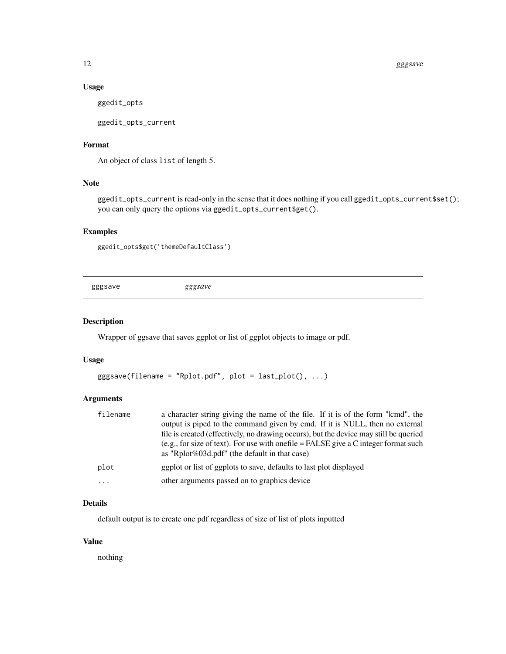### 12 gggsave

# Usage

ggedit\_opts

ggedit\_opts\_current

# Format

An object of class list of length 5.

# Note

ggedit\_opts\_current is read-only in the sense that it does nothing if you call ggedit\_opts\_current\$set(); you can only query the options via ggedit\_opts\_current\$get().

# Examples

```
ggedit_opts$get('themeDefaultClass')
```
gggsave *gggsave*

# Description

Wrapper of ggsave that saves ggplot or list of ggplot objects to image or pdf.

### Usage

```
gggsave(filename = "Rplot.pdf", plot = last_plot(), ...)
```
### Arguments

| filename | a character string giving the name of the file. If it is of the form "lcmd", the                                                        |
|----------|-----------------------------------------------------------------------------------------------------------------------------------------|
|          | output is piped to the command given by cmd. If it is NULL, then no external                                                            |
|          | file is created (effectively, no drawing occurs), but the device may still be queried                                                   |
|          | (e.g., for size of text). For use with one file $=$ FALSE give a C integer format such<br>as "Rplot%03d.pdf" (the default in that case) |
| plot     | egplot or list of ggplots to save, defaults to last plot displayed                                                                      |
| $\cdots$ | other arguments passed on to graphics device                                                                                            |

### Details

default output is to create one pdf regardless of size of list of plots inputted

# Value

nothing

<span id="page-11-0"></span>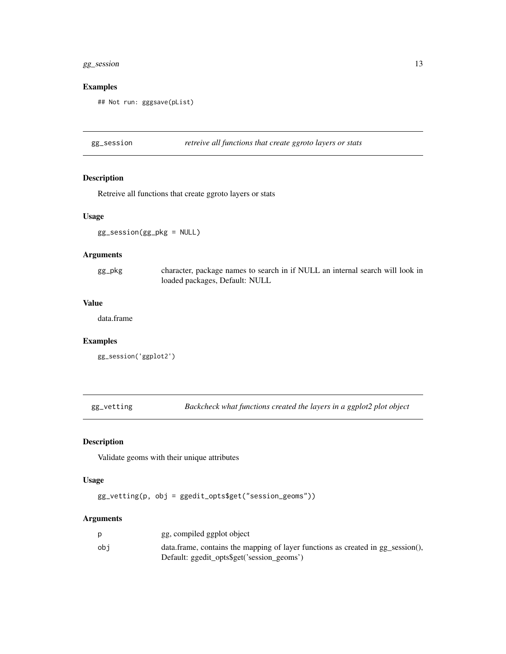# <span id="page-12-0"></span>gg\_session 13

# Examples

```
## Not run: gggsave(pList)
```
gg\_session *retreive all functions that create ggroto layers or stats*

# Description

Retreive all functions that create ggroto layers or stats

# Usage

```
gg_session(gg_pkg = NULL)
```
# Arguments

| gg_pkg | character, package names to search in if NULL an internal search will look in |
|--------|-------------------------------------------------------------------------------|
|        | loaded packages, Default: NULL                                                |

# Value

data.frame

# Examples

```
gg_session('ggplot2')
```
gg\_vetting *Backcheck what functions created the layers in a ggplot2 plot object*

# Description

Validate geoms with their unique attributes

### Usage

```
gg_vetting(p, obj = ggedit_opts$get("session_geoms"))
```
# Arguments

|     | gg, compiled ggplot object                                                      |
|-----|---------------------------------------------------------------------------------|
| obi | data.frame, contains the mapping of layer functions as created in gg_session(), |
|     | Default: ggedit_opts\$get('session_geoms')                                      |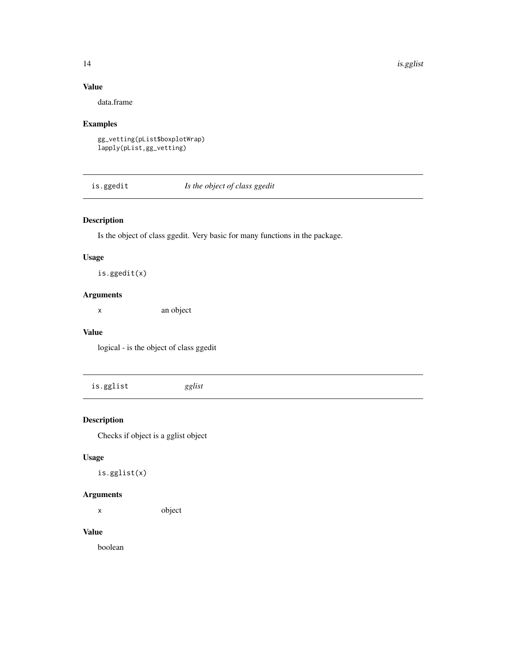14 is.gglist

# Value

data.frame

# Examples

```
gg_vetting(pList$boxplotWrap)
lapply(pList,gg_vetting)
```
is.ggedit *Is the object of class ggedit*

# Description

Is the object of class ggedit. Very basic for many functions in the package.

# Usage

is.ggedit(x)

# Arguments

x an object

# Value

logical - is the object of class ggedit

is.gglist *gglist*

# Description

Checks if object is a gglist object

# Usage

is.gglist(x)

# Arguments

x object

# Value

boolean

<span id="page-13-0"></span>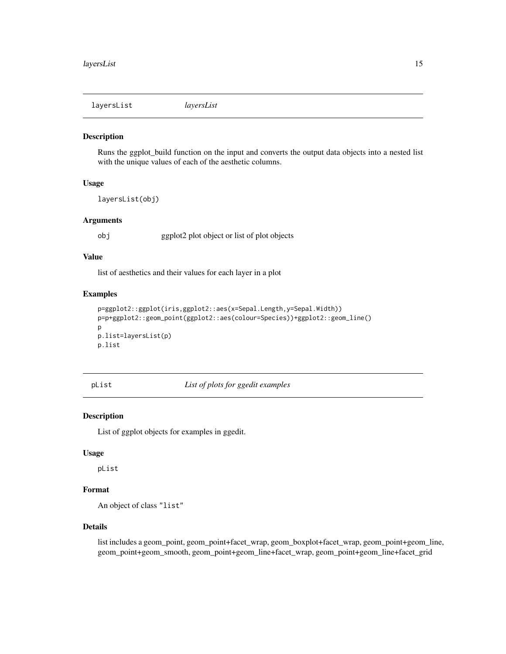<span id="page-14-0"></span>layersList *layersList*

### Description

Runs the ggplot\_build function on the input and converts the output data objects into a nested list with the unique values of each of the aesthetic columns.

# Usage

layersList(obj)

### Arguments

obj ggplot2 plot object or list of plot objects

#### Value

list of aesthetics and their values for each layer in a plot

### Examples

```
p=ggplot2::ggplot(iris,ggplot2::aes(x=Sepal.Length,y=Sepal.Width))
p=p+ggplot2::geom_point(ggplot2::aes(colour=Species))+ggplot2::geom_line()
p
p.list=layersList(p)
p.list
```
pList *List of plots for ggedit examples*

### Description

List of ggplot objects for examples in ggedit.

### Usage

pList

# Format

An object of class "list"

# Details

list includes a geom\_point, geom\_point+facet\_wrap, geom\_boxplot+facet\_wrap, geom\_point+geom\_line, geom\_point+geom\_smooth, geom\_point+geom\_line+facet\_wrap, geom\_point+geom\_line+facet\_grid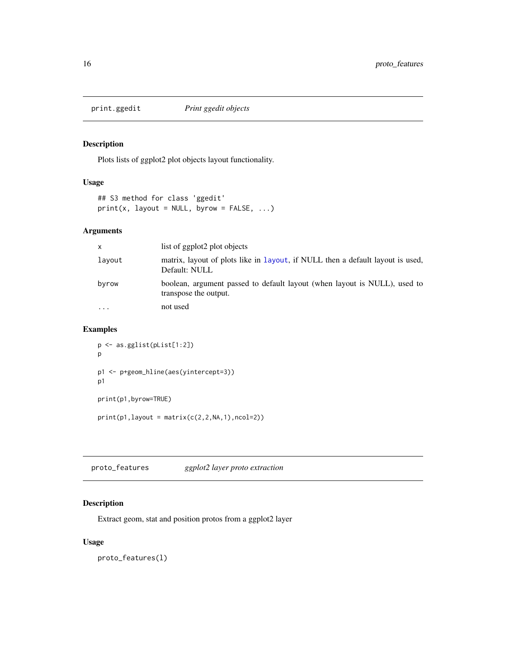<span id="page-15-1"></span><span id="page-15-0"></span>

# Description

Plots lists of ggplot2 plot objects layout functionality.

# Usage

```
## S3 method for class 'ggedit'
print(x, \text{ layout} = NULL, \text{ byrow} = FALSE, ...)
```
# Arguments

| x        | list of ggplot2 plot objects                                                                       |
|----------|----------------------------------------------------------------------------------------------------|
| layout   | matrix, layout of plots like in layout, if NULL then a default layout is used,<br>Default: NULL    |
| byrow    | boolean, argument passed to default layout (when layout is NULL), used to<br>transpose the output. |
| $\cdots$ | not used                                                                                           |

### Examples

```
p <- as.gglist(pList[1:2])
p
p1 <- p+geom_hline(aes(yintercept=3))
p1
print(p1,byrow=TRUE)
print(p1, layout = matrix(c(2, 2, NA, 1), ncol=2))
```
proto\_features *ggplot2 layer proto extraction*

# Description

Extract geom, stat and position protos from a ggplot2 layer

# Usage

proto\_features(l)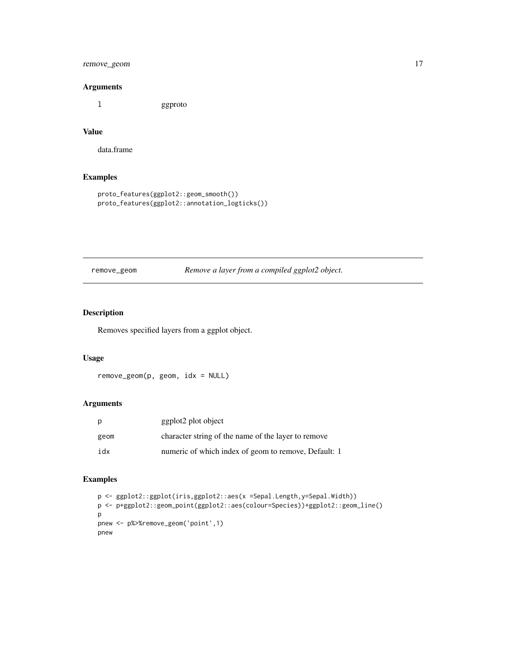# <span id="page-16-0"></span>remove\_geom 17

### Arguments

l ggproto

# Value

data.frame

# Examples

```
proto_features(ggplot2::geom_smooth())
proto_features(ggplot2::annotation_logticks())
```
remove\_geom *Remove a layer from a compiled ggplot2 object.*

# Description

Removes specified layers from a ggplot object.

### Usage

remove\_geom(p, geom, idx = NULL)

### Arguments

| p    | ggplot2 plot object                                  |
|------|------------------------------------------------------|
| geom | character string of the name of the layer to remove  |
| idx  | numeric of which index of geom to remove, Default: 1 |

# Examples

```
p <- ggplot2::ggplot(iris,ggplot2::aes(x =Sepal.Length,y=Sepal.Width))
p <- p+ggplot2::geom_point(ggplot2::aes(colour=Species))+ggplot2::geom_line()
p
pnew <- p%>%remove_geom('point',1)
pnew
```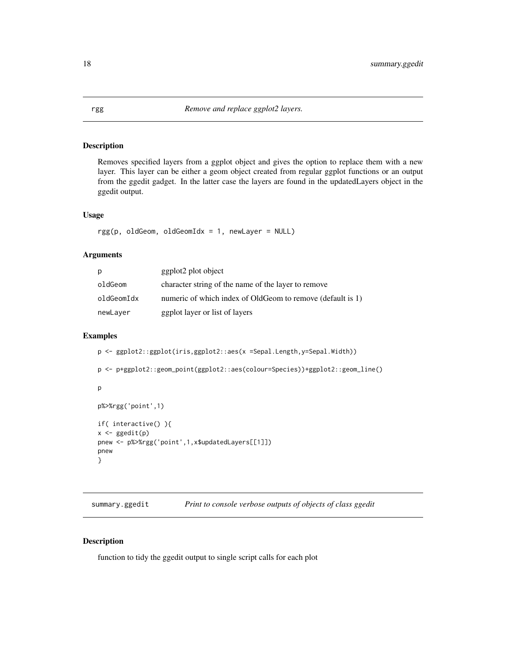### Description

Removes specified layers from a ggplot object and gives the option to replace them with a new layer. This layer can be either a geom object created from regular ggplot functions or an output from the ggedit gadget. In the latter case the layers are found in the updatedLayers object in the ggedit output.

### Usage

```
rgg(p, oldGeom, oldGeomIdx = 1, newLayer = NULL)
```
### Arguments

| р          | ggplot2 plot object                                        |
|------------|------------------------------------------------------------|
| oldGeom    | character string of the name of the layer to remove        |
| oldGeomIdx | numeric of which index of OldGeom to remove (default is 1) |
| newLayer   | ggplot layer or list of layers                             |

# Examples

```
p <- ggplot2::ggplot(iris,ggplot2::aes(x =Sepal.Length,y=Sepal.Width))
p <- p+ggplot2::geom_point(ggplot2::aes(colour=Species))+ggplot2::geom_line()
p
p%>%rgg('point',1)
if( interactive() ){
x \leftarrow ggedit(p)
pnew <- p%>%rgg('point',1,x$updatedLayers[[1]])
pnew
}
```
summary.ggedit *Print to console verbose outputs of objects of class ggedit*

# Description

function to tidy the ggedit output to single script calls for each plot

<span id="page-17-1"></span><span id="page-17-0"></span>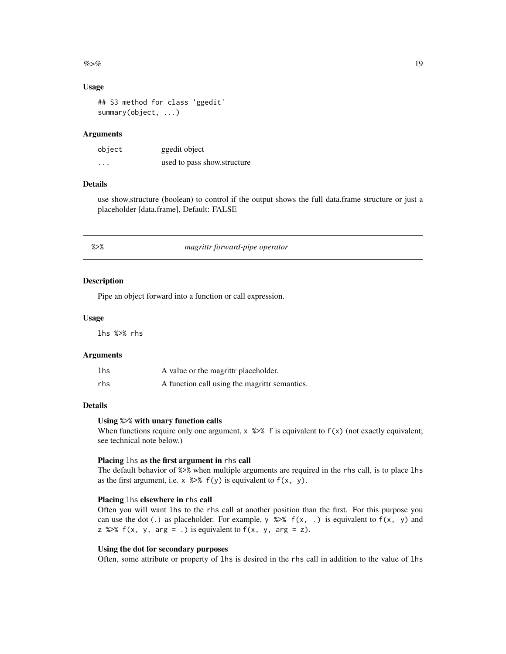### <span id="page-18-0"></span> $\%$  >% 19

### Usage

## S3 method for class 'ggedit' summary(object, ...)

### **Arguments**

| object   | ggedit object               |
|----------|-----------------------------|
| $\cdots$ | used to pass show.structure |

# Details

use show.structure (boolean) to control if the output shows the full data.frame structure or just a placeholder [data.frame], Default: FALSE

| т.<br>× |  |
|---------|--|

# %>% *magrittr forward-pipe operator*

#### Description

Pipe an object forward into a function or call expression.

### Usage

lhs %>% rhs

### Arguments

| lhs | A value or the magrittr placeholder.          |
|-----|-----------------------------------------------|
| rhs | A function call using the magrittr semantics. |

### Details

### Using %>% with unary function calls

When functions require only one argument,  $x \gg x$  f is equivalent to  $f(x)$  (not exactly equivalent; see technical note below.)

### Placing lhs as the first argument in rhs call

The default behavior of %>% when multiple arguments are required in the rhs call, is to place lhs as the first argument, i.e.  $x \gg$  f(y) is equivalent to f(x, y).

# Placing lhs elsewhere in rhs call

Often you will want lhs to the rhs call at another position than the first. For this purpose you can use the dot (.) as placeholder. For example,  $y \gg \pi(x, .)$  is equivalent to  $f(x, y)$  and z % $>$ % f(x, y, arg = .) is equivalent to f(x, y, arg = z).

### Using the dot for secondary purposes

Often, some attribute or property of lhs is desired in the rhs call in addition to the value of lhs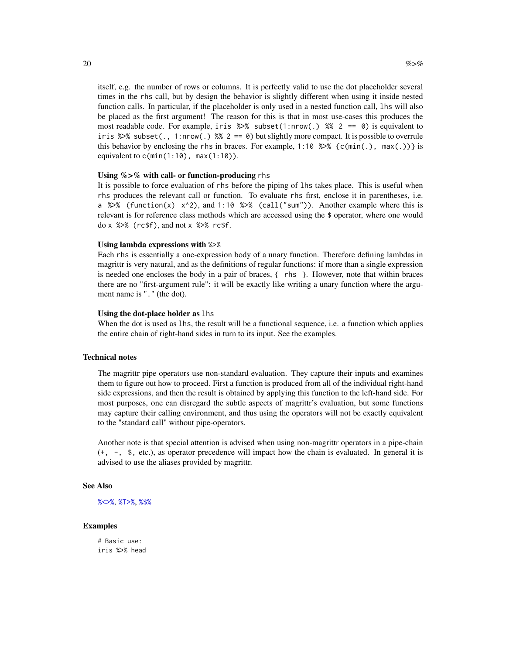<span id="page-19-0"></span>itself, e.g. the number of rows or columns. It is perfectly valid to use the dot placeholder several times in the rhs call, but by design the behavior is slightly different when using it inside nested function calls. In particular, if the placeholder is only used in a nested function call, lhs will also be placed as the first argument! The reason for this is that in most use-cases this produces the most readable code. For example, iris  $\gg$  subset(1:nrow(.)  $\gg$  2 == 0) is equivalent to iris % $\gg$ % subset(., 1:nrow(.) %% 2 == 0) but slightly more compact. It is possible to overrule this behavior by enclosing the rhs in braces. For example, 1:10 %>% { $c(min(.)$ ,  $max(.)$ } is equivalent to  $c(\min(1:10))$ ,  $\max(1:10)$ .

### Using %>% with call- or function-producing rhs

It is possible to force evaluation of rhs before the piping of lhs takes place. This is useful when rhs produces the relevant call or function. To evaluate rhs first, enclose it in parentheses, i.e. a % $\gg$ % (function(x) x^2), and 1:10 % $\gg$ % (call("sum")). Another example where this is relevant is for reference class methods which are accessed using the \$ operator, where one would  $do \times$  % $\gg$  (rc\$f), and not  $\times$  % $\gg$  rc\$f.

### Using lambda expressions with %>%

Each rhs is essentially a one-expression body of a unary function. Therefore defining lambdas in magrittr is very natural, and as the definitions of regular functions: if more than a single expression is needed one encloses the body in a pair of braces, { rhs }. However, note that within braces there are no "first-argument rule": it will be exactly like writing a unary function where the argument name is "." (the dot).

### Using the dot-place holder as lhs

When the dot is used as lhs, the result will be a functional sequence, i.e. a function which applies the entire chain of right-hand sides in turn to its input. See the examples.

### Technical notes

The magrittr pipe operators use non-standard evaluation. They capture their inputs and examines them to figure out how to proceed. First a function is produced from all of the individual right-hand side expressions, and then the result is obtained by applying this function to the left-hand side. For most purposes, one can disregard the subtle aspects of magrittr's evaluation, but some functions may capture their calling environment, and thus using the operators will not be exactly equivalent to the "standard call" without pipe-operators.

Another note is that special attention is advised when using non-magrittr operators in a pipe-chain (+, -, \$, etc.), as operator precedence will impact how the chain is evaluated. In general it is advised to use the aliases provided by magrittr.

### See Also

```
%<>%, %T>%, %$%
```
### Examples

# Basic use: iris %>% head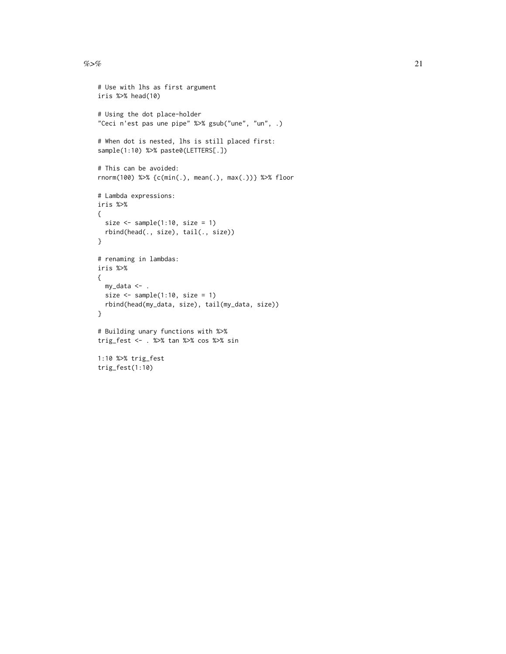$\%$  >% 21

```
# Use with lhs as first argument
iris %>% head(10)
# Using the dot place-holder
"Ceci n'est pas une pipe" %>% gsub("une", "un", .)
# When dot is nested, lhs is still placed first:
sample(1:10) %>% paste0(LETTERS[.])
# This can be avoided:
rnorm(100) %>% {c(min(.), mean(.), max(.))} %>% floor
# Lambda expressions:
iris %>%
{
  size \leq sample(1:10, size = 1)
  rbind(head(., size), tail(., size))
}
# renaming in lambdas:
iris %>%
{
 my_data <- .
  size <- sample(1:10, size = 1)
  rbind(head(my_data, size), tail(my_data, size))
}
# Building unary functions with %>%
trig_fest <- . %>% tan %>% cos %>% sin
1:10 %>% trig_fest
trig_fest(1:10)
```